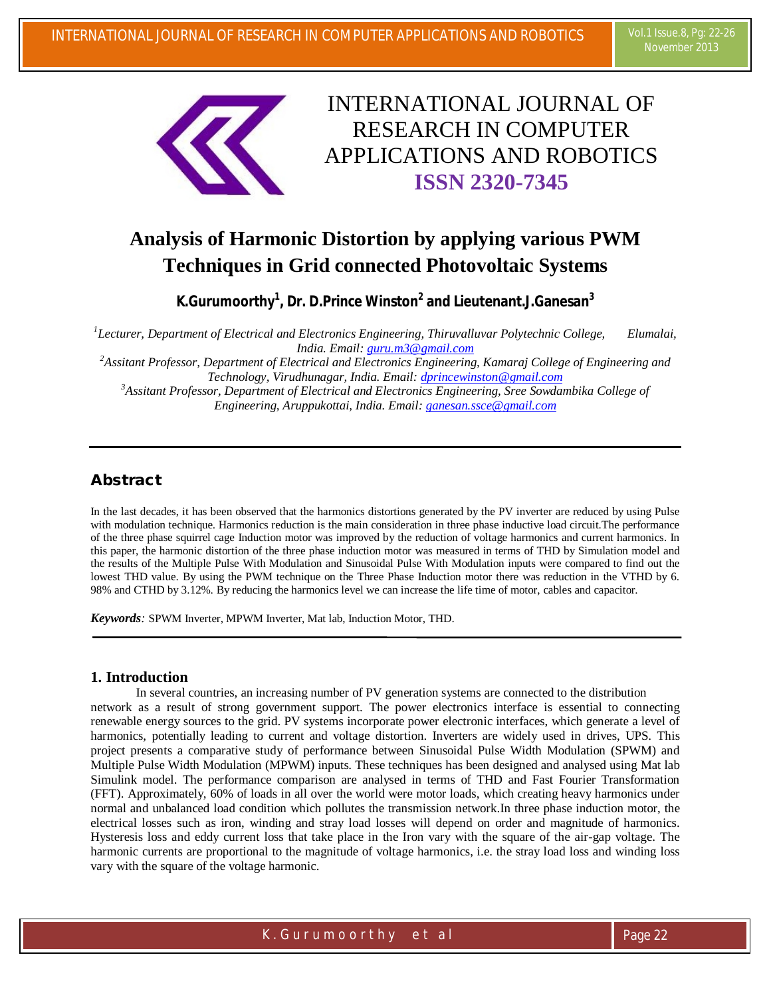

# INTERNATIONAL JOURNAL OF RESEARCH IN COMPUTER APPLICATIONS AND ROBOTICS **ISSN 2320-7345**

## **Analysis of Harmonic Distortion by applying various PWM Techniques in Grid connected Photovoltaic Systems**

**K.Gurumoorthy<sup>1</sup> , Dr. D.Prince Winston<sup>2</sup> and Lieutenant.J.Ganesan<sup>3</sup>**

<sup>1</sup> Lecturer, Department of Electrical and Electronics Engineering, Thiruvalluvar Polytechnic College, Elumalai, *India. Email: guru.m3@gmail.com*

*<sup>2</sup>Assitant Professor, Department of Electrical and Electronics Engineering, Kamaraj College of Engineering and Technology, Virudhunagar, India. Email: dprincewinston@gmail.com*

*<sup>3</sup>Assitant Professor, Department of Electrical and Electronics Engineering, Sree Sowdambika College of Engineering, Aruppukottai, India. Email: ganesan.ssce@gmail.com*

### **Abstract**

In the last decades, it has been observed that the harmonics distortions generated by the PV inverter are reduced by using Pulse with modulation technique. Harmonics reduction is the main consideration in three phase inductive load circuit.The performance of the three phase squirrel cage Induction motor was improved by the reduction of voltage harmonics and current harmonics. In this paper, the harmonic distortion of the three phase induction motor was measured in terms of THD by Simulation model and the results of the Multiple Pulse With Modulation and Sinusoidal Pulse With Modulation inputs were compared to find out the lowest THD value. By using the PWM technique on the Three Phase Induction motor there was reduction in the VTHD by 6. 98% and CTHD by 3.12%. By reducing the harmonics level we can increase the life time of motor, cables and capacitor.

*Keywords:* SPWM Inverter, MPWM Inverter, Mat lab, Induction Motor, THD.

#### **1. Introduction**

In several countries, an increasing number of PV generation systems are connected to the distribution network as a result of strong government support. The power electronics interface is essential to connecting renewable energy sources to the grid. PV systems incorporate power electronic interfaces, which generate a level of harmonics, potentially leading to current and voltage distortion. Inverters are widely used in drives, UPS. This project presents a comparative study of performance between Sinusoidal Pulse Width Modulation (SPWM) and Multiple Pulse Width Modulation (MPWM) inputs. These techniques has been designed and analysed using Mat lab Simulink model. The performance comparison are analysed in terms of THD and Fast Fourier Transformation (FFT). Approximately, 60% of loads in all over the world were motor loads, which creating heavy harmonics under normal and unbalanced load condition which pollutes the transmission network.In three phase induction motor, the electrical losses such as iron, winding and stray load losses will depend on order and magnitude of harmonics. Hysteresis loss and eddy current loss that take place in the Iron vary with the square of the air-gap voltage. The harmonic currents are proportional to the magnitude of voltage harmonics, i.e. the stray load loss and winding loss vary with the square of the voltage harmonic.

K . Guru m o o r t h y e t a l external and the page 22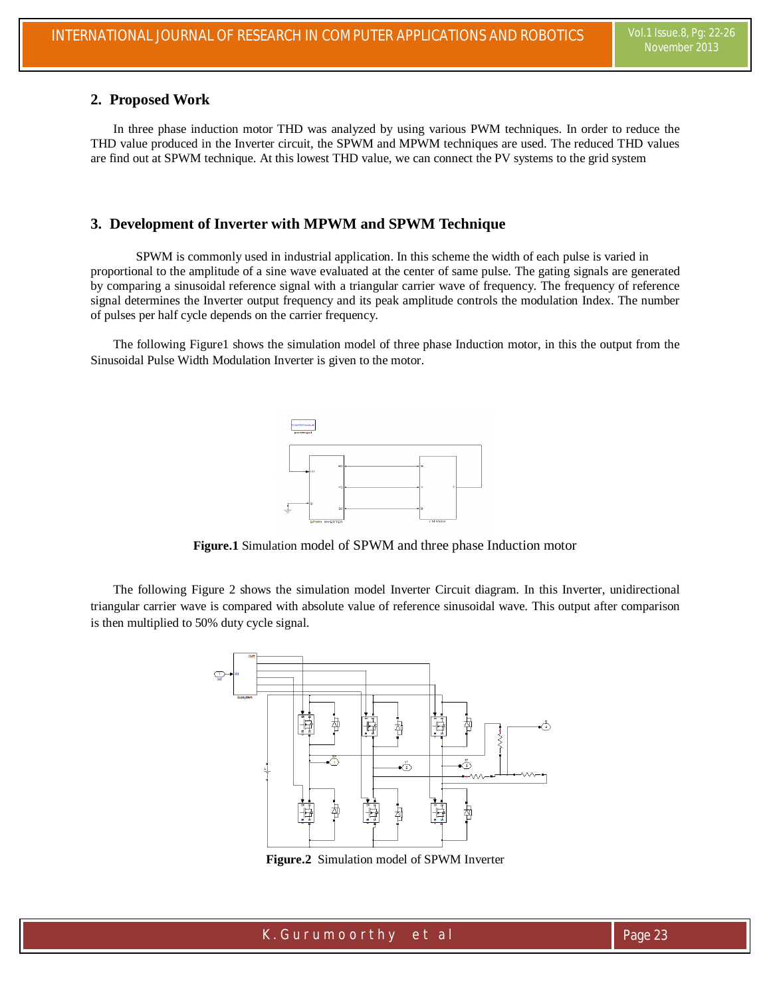#### **2. Proposed Work**

In three phase induction motor THD was analyzed by using various PWM techniques. In order to reduce the THD value produced in the Inverter circuit, the SPWM and MPWM techniques are used. The reduced THD values are find out at SPWM technique. At this lowest THD value, we can connect the PV systems to the grid system

#### **3. Development of Inverter with MPWM and SPWM Technique**

SPWM is commonly used in industrial application. In this scheme the width of each pulse is varied in proportional to the amplitude of a sine wave evaluated at the center of same pulse. The gating signals are generated by comparing a sinusoidal reference signal with a triangular carrier wave of frequency. The frequency of reference signal determines the Inverter output frequency and its peak amplitude controls the modulation Index. The number of pulses per half cycle depends on the carrier frequency.

The following Figure1 shows the simulation model of three phase Induction motor, in this the output from the Sinusoidal Pulse Width Modulation Inverter is given to the motor.



**Figure.1** Simulation model of SPWM and three phase Induction motor

The following Figure 2 shows the simulation model Inverter Circuit diagram. In this Inverter, unidirectional triangular carrier wave is compared with absolute value of reference sinusoidal wave. This output after comparison is then multiplied to 50% duty cycle signal.



**Figure.2** Simulation model of SPWM Inverter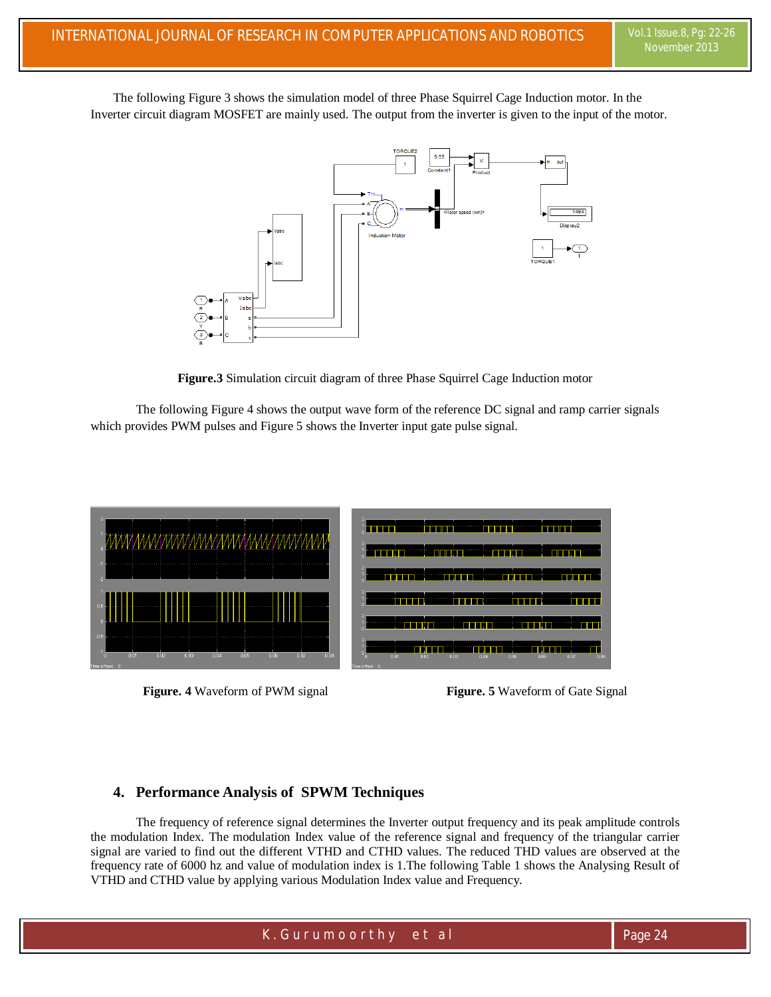The following Figure 3 shows the simulation model of three Phase Squirrel Cage Induction motor. In the Inverter circuit diagram MOSFET are mainly used. The output from the inverter is given to the input of the motor.



**Figure.3** Simulation circuit diagram of three Phase Squirrel Cage Induction motor

The following Figure 4 shows the output wave form of the reference DC signal and ramp carrier signals which provides PWM pulses and Figure 5 shows the Inverter input gate pulse signal.



**Figure. 4** Waveform of PWM signal **Figure. 5** Waveform of Gate Signal

#### **4. Performance Analysis of SPWM Techniques**

The frequency of reference signal determines the Inverter output frequency and its peak amplitude controls the modulation Index. The modulation Index value of the reference signal and frequency of the triangular carrier signal are varied to find out the different VTHD and CTHD values. The reduced THD values are observed at the frequency rate of 6000 hz and value of modulation index is 1.The following Table 1 shows the Analysing Result of VTHD and CTHD value by applying various Modulation Index value and Frequency.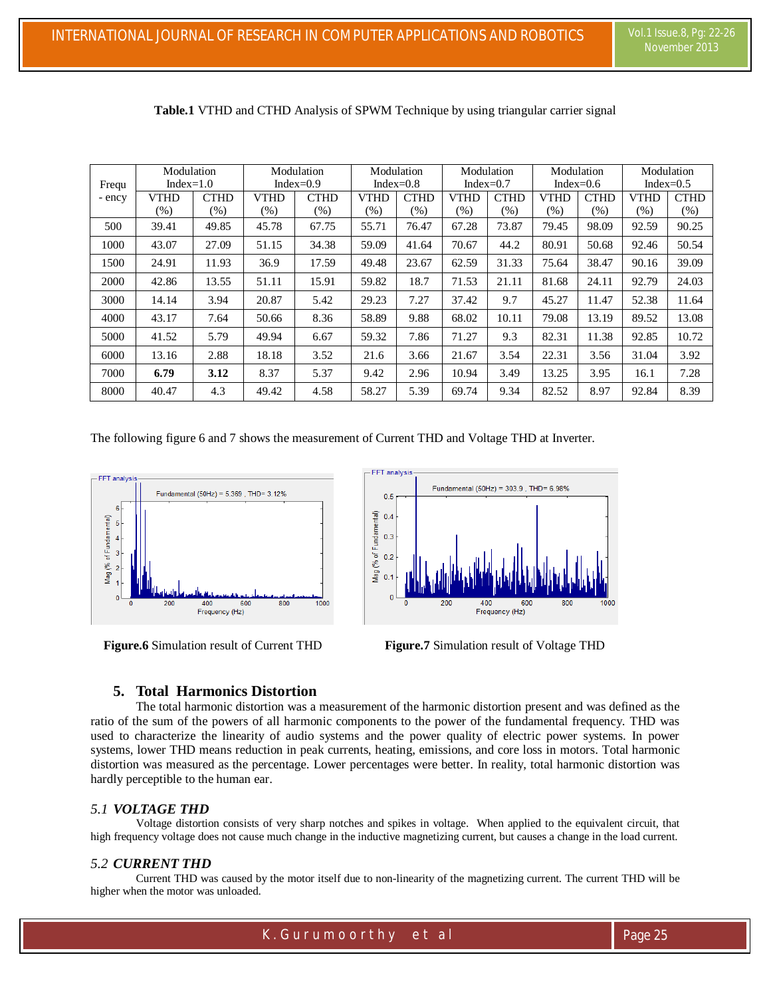| Frequ<br>- ency | Modulation<br>Index= $1.0$ |             | Modulation<br>Index= $0.9$ |             | Modulation<br>Index= $0.8$ |             | Modulation<br>Index= $0.7$ |             | Modulation<br>Index= $0.6$ |             | Modulation<br>Index= $0.5$ |             |
|-----------------|----------------------------|-------------|----------------------------|-------------|----------------------------|-------------|----------------------------|-------------|----------------------------|-------------|----------------------------|-------------|
|                 | VTHD                       | <b>CTHD</b> | <b>VTHD</b>                | <b>CTHD</b> | VTHD                       | <b>CTHD</b> | <b>VTHD</b>                | <b>CTHD</b> | <b>VTHD</b>                | <b>CTHD</b> | <b>VTHD</b>                | <b>CTHD</b> |
|                 | (% )                       | $(\% )$     | (% )                       | (%)         | (%)                        | $(\%)$      | (% )                       | (%)         | (%)                        | (% )        | (%)                        | (%)         |
| 500             | 39.41                      | 49.85       | 45.78                      | 67.75       | 55.71                      | 76.47       | 67.28                      | 73.87       | 79.45                      | 98.09       | 92.59                      | 90.25       |
| 1000            | 43.07                      | 27.09       | 51.15                      | 34.38       | 59.09                      | 41.64       | 70.67                      | 44.2        | 80.91                      | 50.68       | 92.46                      | 50.54       |
| 1500            | 24.91                      | 11.93       | 36.9                       | 17.59       | 49.48                      | 23.67       | 62.59                      | 31.33       | 75.64                      | 38.47       | 90.16                      | 39.09       |
| 2000            | 42.86                      | 13.55       | 51.11                      | 15.91       | 59.82                      | 18.7        | 71.53                      | 21.11       | 81.68                      | 24.11       | 92.79                      | 24.03       |
| 3000            | 14.14                      | 3.94        | 20.87                      | 5.42        | 29.23                      | 7.27        | 37.42                      | 9.7         | 45.27                      | 11.47       | 52.38                      | 11.64       |
| 4000            | 43.17                      | 7.64        | 50.66                      | 8.36        | 58.89                      | 9.88        | 68.02                      | 10.11       | 79.08                      | 13.19       | 89.52                      | 13.08       |
| 5000            | 41.52                      | 5.79        | 49.94                      | 6.67        | 59.32                      | 7.86        | 71.27                      | 9.3         | 82.31                      | 11.38       | 92.85                      | 10.72       |
| 6000            | 13.16                      | 2.88        | 18.18                      | 3.52        | 21.6                       | 3.66        | 21.67                      | 3.54        | 22.31                      | 3.56        | 31.04                      | 3.92        |
| 7000            | 6.79                       | 3.12        | 8.37                       | 5.37        | 9.42                       | 2.96        | 10.94                      | 3.49        | 13.25                      | 3.95        | 16.1                       | 7.28        |
| 8000            | 40.47                      | 4.3         | 49.42                      | 4.58        | 58.27                      | 5.39        | 69.74                      | 9.34        | 82.52                      | 8.97        | 92.84                      | 8.39        |

**Table.1** VTHD and CTHD Analysis of SPWM Technique by using triangular carrier signal

The following figure 6 and 7 shows the measurement of Current THD and Voltage THD at Inverter.



 **Figure.6** Simulation result of Current THD **Figure.7** Simulation result of Voltage THD



#### **5. Total Harmonics Distortion**

The total harmonic distortion was a measurement of the harmonic distortion present and was defined as the ratio of the sum of the powers of all harmonic components to the power of the fundamental frequency. THD was used to characterize the linearity of audio systems and the power quality of electric power systems. In power systems, lower THD means reduction in peak currents, heating, emissions, and core loss in motors. Total harmonic distortion was measured as the percentage. Lower percentages were better. In reality, total harmonic distortion was hardly perceptible to the human ear.

#### *5.1 VOLTAGE THD*

Voltage distortion consists of very sharp notches and spikes in voltage. When applied to the equivalent circuit, that high frequency voltage does not cause much change in the inductive magnetizing current, but causes a change in the load current.

#### *5.2 CURRENT THD*

Current THD was caused by the motor itself due to non-linearity of the magnetizing current. The current THD will be higher when the motor was unloaded.

K . Guru m o o r t h y e t a l external and the page 25